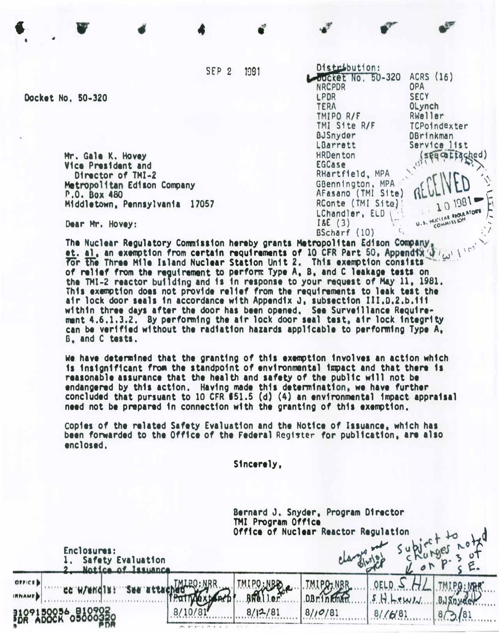SEP<sub>2</sub> 1991 Distribution:

**NRCPDR** 

TMIPO R/F

**BJSnyder** 

LBarrett **HRDenton** 

**EGCase** 

 $18E(3)$ 

TMI Site R/F

RHartfield, MPA

GBennington, MPA

AFasano (TMI Site)

RConte (TMI Site)

LChandler, ELD

BScharf (10)

LPDR

**TERA** 

oocket No. 50-320

ACRS (16)

OPA **SECY** 

OLynch

Rweller

DBrinkman Service list

TCPoindexter

see catta

cov

HUCLEAR RICLA ATORY

Docket No. 50-320

Mr. Gale K. Hovey Vice President and Director of TMI-2 Metropolitan Edison Company P.O. Box 480 Middletown, Pennsylvania 17057

Dear Mr. Hovey:

The Nuclear Regulatory Commission hereby grants Metropolitan Edison Company, et. al, an exemption from certain requirements of 10 CFR Part 50, Appendix (1) For the Three Mile Island Nuclear Station Unit 2. This exemption consists of relief from the reguirement to perform Type A, B, and C leakage tests on the TMI-2 reactor building and is in response to your request of May 11, 1981. This exemption does not provide relief from the requirements to leak test the air lock door seals in accordance with Appendix J, subsection III.D.2.b.iii within three days after the door has been opened. See Surveillance Requirement 4.6.1.3.2. By performing the air lock door seal test, air lock integrity can be verified without the radiation hazards applicable to performing Type A, B. and C tests.

We have determined that the granting of this exemption involves an action which is insignificant from the standpoint of environmental impact and that there is reasonable assurance that the health and safety of the public will not be endangered by this action. Having made this determination, we have further concluded that pursuant to 10 CFR \$51.5 (d) (4) an environmental impact appraisal need not be prepared in connection with the granting of this exemption.

Copies of the related Safety Evaluation and the Notice of Issuance, which has been forwarded to the Office of the Federal Register for publication, are also enclosed.

Sincerely.

Bernard J. Snyder, Program Director TMI Program Office **Office of Nuclear Reactor Requiation** Enclosures: Safety Evaluation of Issuance OFFICE **TMIPRINER** TMIPO:NBR **DBrinkman BWeller** 5 0056\_810<br>OCK 0500  $8/12/81$  $8/10/81$  $8/16/81$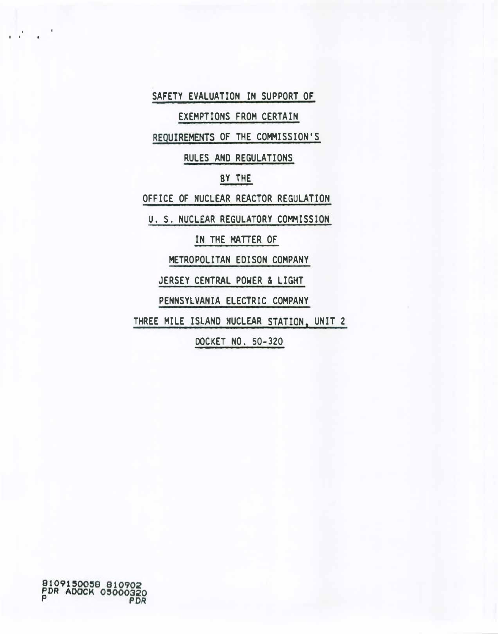SAFETY EVALUATION IN SUPPORT OF

EXEMPTIONS FROM CERTAIN

REQUIREMENTS OF THE COMMISSION'S

RULES AND REGULATIONS

# BY THE

OFFICE OF NUCLEAR REACTOR REGULATION

U. S. NUCLEAR REGULATORY COMMISSION

IN THE MATTER OF

METROPOLITAN EDISON COMPANY

JERSEY CENTRAL POWER & LIGHT

PENNSYLVANIA ELECTRIC COMPANY

THREE MILE ISLAND NUCLEAR STATION, UNIT 2

DOCKET NO. 50-320

 $\sim$ 

I I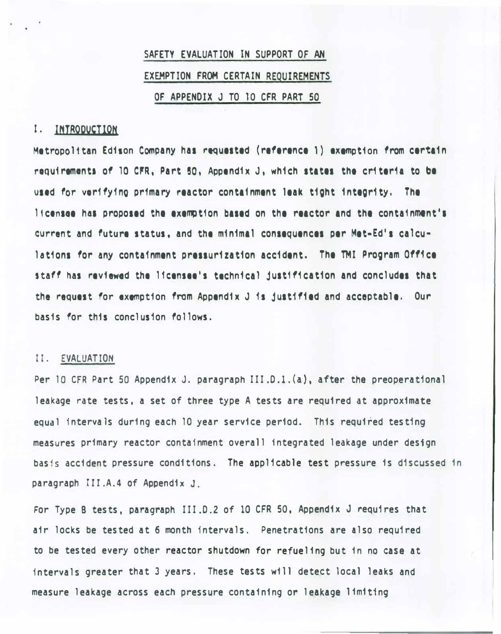# SAFETY EVALUATION IN SUPPORT OF AN EXEMPTION FROM CERTAIN REQUIREMENTS OF APPENDIX J TO 10 CFR PART 50

# I. INTRODUCTION

Metropolitan Edison Company has requested (reference 1) exemption from certain requirements of 10 CFR, Part 50, Appendix J, which states the criteria to be used for verifying primary reactor containment leak tight integrity. The licensee has proposed the exemption based on the reactor and the containment's current and future status, and the m1n1ma1 consequences per Met-Ed's ca1culations for any containment pressurization accident. The TMI Program Office staff has reviewed the licensee's technical justification and concludes that the request for exemption from Appendix J 1s just1f1ed and acceptable . Our basis for this conclusion follows.

# II. EVALUATION

Per 10 CFR Part 50 Appendix J. paragraph III.D.1.(a), after the preoperational leakage rate tests, a set of three type A tests are required at approximate equal intervals during each 10 year service period. This required testing measures primary reactor containment overall integrated leakage under design basis accident pressure conditions. The applicable test pressure is discussed in paragraph III.A.4 of Appendix J.

For Type B tests, paragraph III.D.2 of 10 CFR 50, Appendix J requires that air locks be tested at 6 month intervals. Penetrations are also required to be tested every other reactor shutdown for refueling but in no case a<sup>t</sup> intervals greater that 3 years. These tests will detect local leaks and measure leakage across each pressure containing or leakage limiting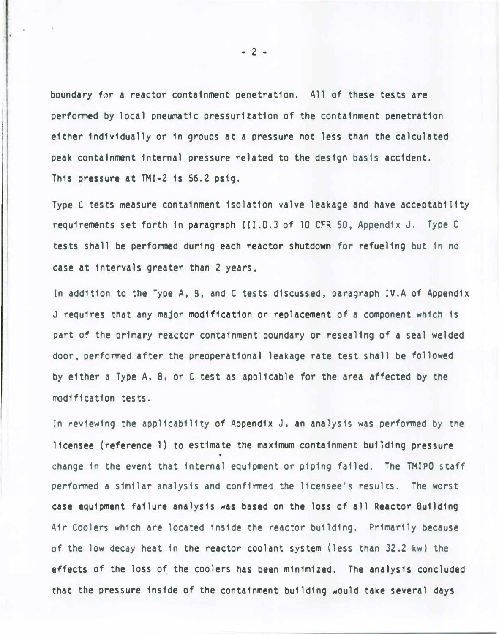boundary for a reactor containment penetration. All of these tests are performed by local pneumatic pressurization of the containment penetration either individually or in groups at a pressure not less than the calculated peak containment internal pressure related to the design basis accident. This pressure at TMI-2 is 56.2 ps1g.

Type C tests measure containment isolation valve leakage and have acceptability requirements set forth in paragraph III.0.3 of 10 CFR 50, Appendix J. Type C tests shall be performed during each reactor shutdown for refueling but in no case at intervals greater than 2 years,

In addition to the Type A, B, and C tests discussed, paragraph IV.A of Appendix J requires that any major modification or replacement of a component which is part of the primary reactor containment boundary or resealing of a seal welded door. performed after the preoperational leakage rate test shall be followed by either a Type A, B, or C test as applicable for the area affected by the modification tests.

In reviewing the applicability of Appendix J. an analysis was performed by the licensee (reference 1) to estimate the maximum containment building pressure change in the event that internal equipment or piping failed. The TMIPO staff performed a similar analysis and confirmed the licensee's results. The worst case equipment failure analysis was based on the loss of all Reactor Building Air Coolers which are located inside the reactor building. Primarily because of the low decay heat in the reactor coolant system (less than 32.2 kw) the effects of the loss of the coolers has been minimized. The analysis concluded that the pressure inside of the containment building would take several days

- 2 -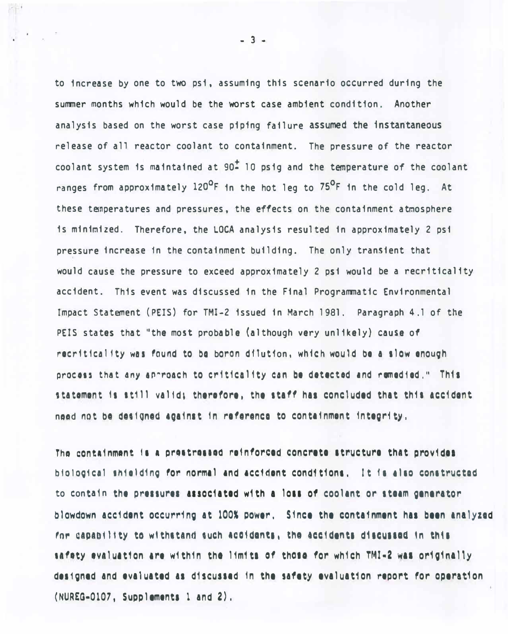to increase by one to two psi, assuming this scenario occurred during the summer months which would be the worst case ambient condition. Another analysis based on the worst case piping failure assumed the instantaneous release of all reactor coolant to containment. The pressure of the reactor coolant system is maintained at  $90<sup>2</sup>$  10 psig and the temperature of the coolant ranges from approximately 120<sup>o</sup>F in the hot leg to 75<sup>o</sup>F in the cold leg. At these temperatures and pressures, the effects on the containment atmosphere is minimized. Therefore, the LOCA analysis resulted in approximately 2 psi pressure increase in the containment building. The only transient that would cause the pressure to exceed approximately 2 psi would be a recriticality accident. This event was discussed in the Final Programmatic Environmental Impact Statement (PEIS) for TMI-2 issued in March 1981. Paragraph 4.1 of the PEIS states that "the most probable (although very unlikely) cause of recriticality was found to be boron dilution, which would be a slow enough process that any approach to criticality can be detected and remedied." This statement is still valid; therefore, the staff has concluded that this accident need not be designed against in reference to containment integrity,

The containment is a prestressed reinforced concrete structure that provides biological shielding for normal and accident conditions. It is also constructed to contain the pressures associated with a loss of coolant or steam generator blowdown accident occurring at 100% power. Since the containment has been analyzed for capability to withstand such accidents, the accidents discussed in this safety evaluation are within the limits of those for which TMI-2 was originally designed and evaluated as discussed in the safety evaluation report for operation (NUREG-0107, Supplements 1 and 2),

 $-3 -$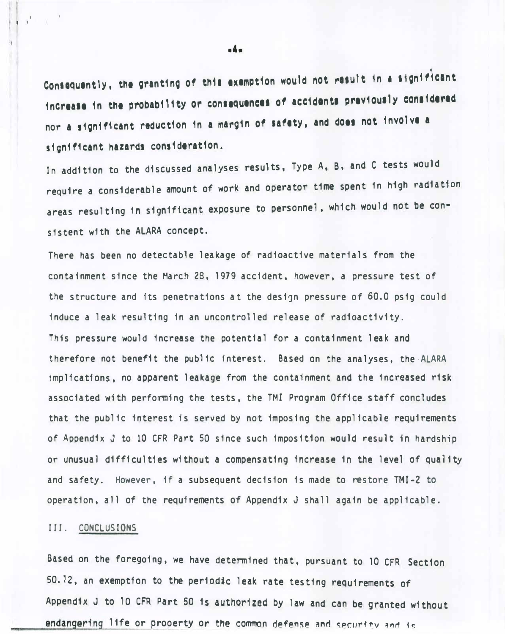Consequently, the granting of this exemption would not result in a significant increase in the probability or consequences of accidents previously considered nor a significant reduction in a margin of safety, and does not involve a significant hazards consideration.

In addition to the discussed analyses results, Type A, B, and C tests would require a considerable amount of work and operator time spent in high radiation areas resulting in significant exposure to personnel, which would not be consistent with the ALARA concept.

There has been no detectable leakage of radioactive materials from the containment since the March 28, 1979 accident, however, a pressure test of the structure and its penetrations at the design pressure of 60.0 psig could induce a leak resulting in an uncontrolled release of radioactivity. This pressure would increase the potential for a containment leak and therefore not benefit the public interest. Based on the analyses, the ·ALARA implications, no apparent leakage from the containment and the increased risk associated with performing the tests, the TMI Program Office staff concludes that the public interest is served by not imposing the applicable requirements of Appendix J to 10 CFR Part 50 since such imposition would result in hardship or unusual difficulties without a compensating increase in the level of quality and safety. However, if a subsequent decision is made to restore TMI-2 to operation, all of the requirements of Appendix J shall again be applicable.

## III. CONCLUSIONS

**Digita** 

I I I

> Based on the foregoing, we have determined that, pursuant to 10 CFR Section 50. 12, an exemption to the periodic leak rate testing requirements of Appendix J to 10 CFR Part 50 is authorized by law and can be granted without endangering life or prooerty or the common defense and security and is

·4·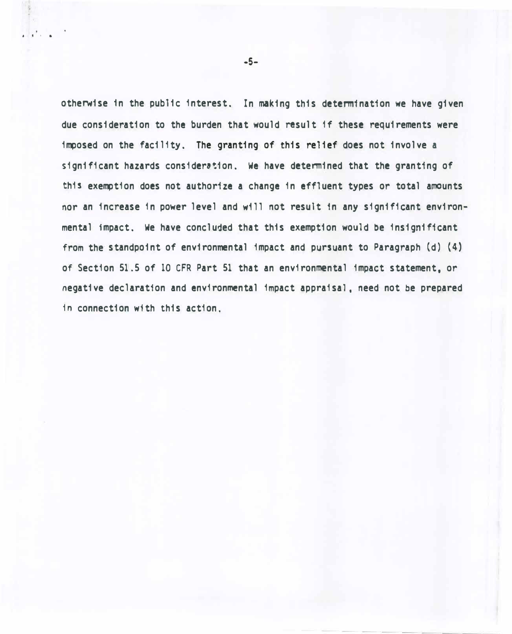otherwise 1n the public interest. In making this determination we have given due consideration to the burden that would result 1f these requirements were imposed on the facility. The granting of this relief does not involve a significant hazards consideration. We have determined that the granting of this exemption does not authorize a change in effluent types or total amounts nor an increase 1n power level and w111 not result 1n any significant environmental impact. We have concluded that this exemption would be insignificant from the standpoint of environmental impact and pursuant to Paragraph (d) (4) of Section 51.5 of 10 CFR Part 51 that an environmental impact statement, or negative declaration and environmental impact appraisal. need not be prepared 1n connection with this action.

,  $\mathbf{r}^{\prime}$  ,  $\mathbf{r}$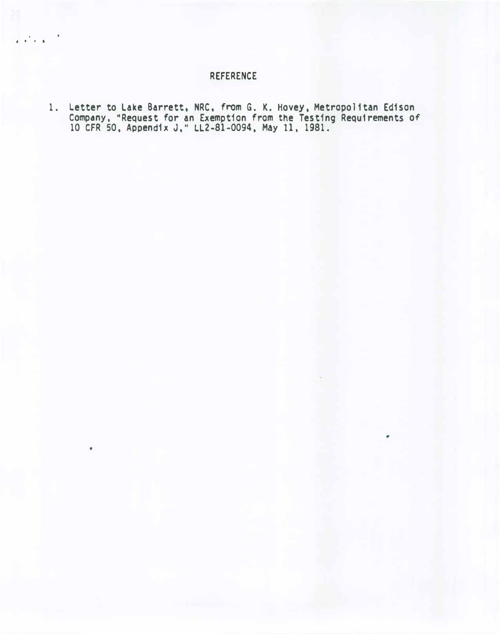# REFERENCE

' . . .

1. Letter to Lake Barrett, NRC, from G. K. Hovey, Metropolitan Edison Company, "Request for an Exemption from the Testing Requ1 rements of 10 CFR 50, Appendix J," LL2-81-0094, May 11, 1981.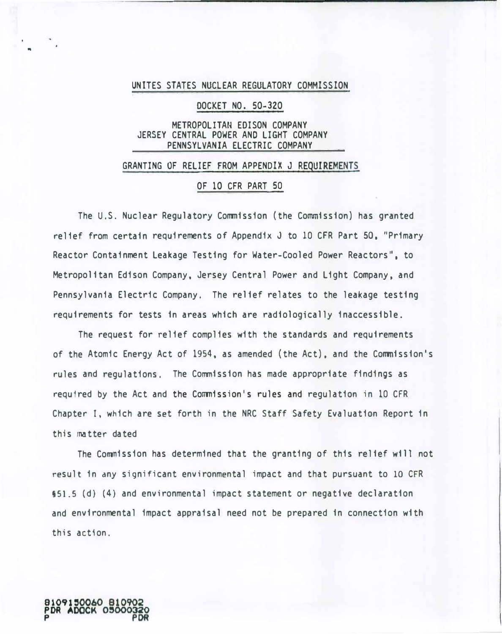#### UNITES STATES NUCLEAR REGULATORY COMMISSION

## DOCKET NO. 50-320

## METROPOLITAN EDISON COMPANY JERSEY CENTRAL POWER AND LIGHT COMPANY PENNSYLVANIA ELECTRIC COMPANY

#### GRANTING OF RELIEF FROM APPENDIX J REQUIREMENTS

## OF 10 CFR PART 50

The U.S. Nuclear Regulatory Commission (the Commission) has granted relief from certain requirements of Appendix J to 10 CFR Part 50, "Primary Reactor Containment Leakage Testing for Water-Cooled Power Reactors", to Metropolitan Edison Company. Jersey Central Power and Light Company, and Pennsylvania Electric Company. The relief relates to the leakage testing requirements for tests in areas which are radiologically inaccessible.

The request for relief complies with the standards and requirements of the Atomic Energy Act of 1954, as amended (the Act), and the Commission's rules and regulations. The Commission has made appropriate findings as required by the Act and the Commission's rules and regulation in 10 CFR Chapter I. which are set forth in the NRC Staff Safety Evaluation Report in this matter dated

The Commission has determined that the granting of this relief will not result in any significant environmental impact and that pursuant to 10 CFR §51.5 (d) (4) and environmental impact statement or negative declaration and environmental impact appraisal need not be prepared in connection with this action.



..